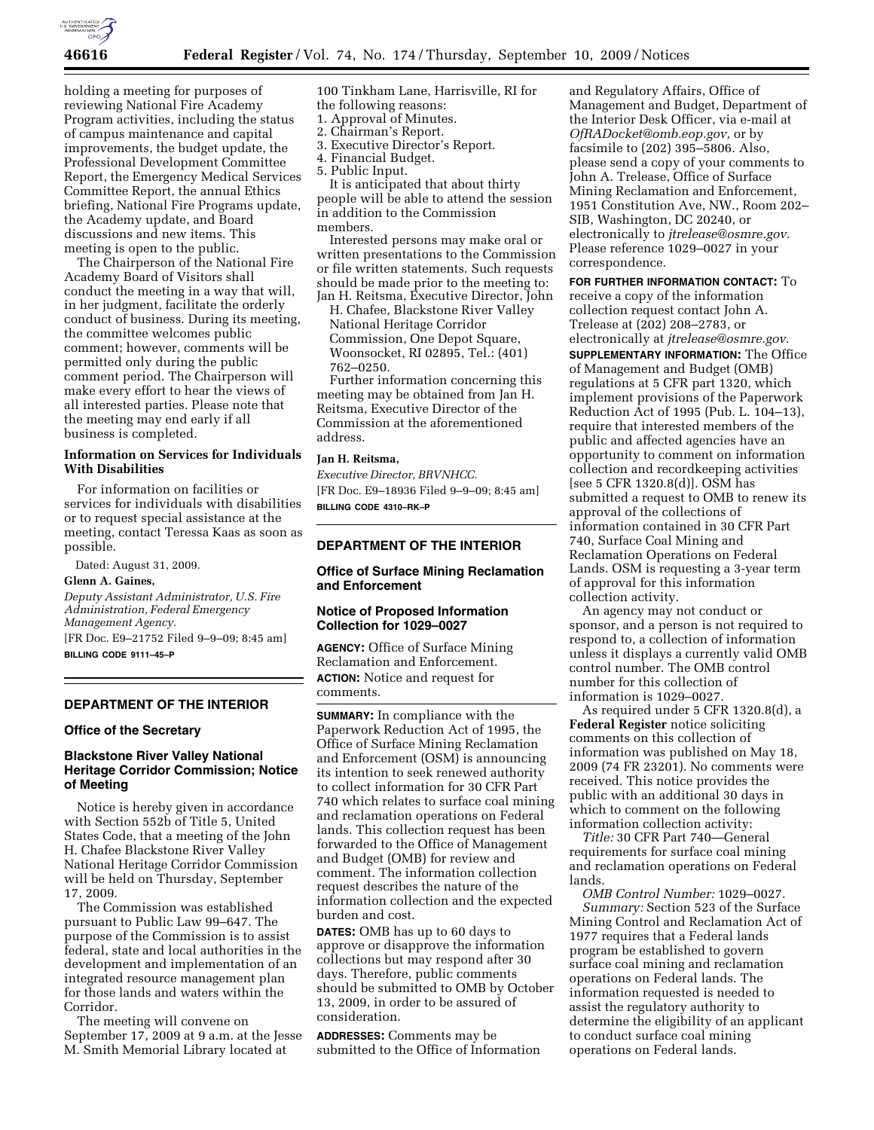

holding a meeting for purposes of reviewing National Fire Academy Program activities, including the status of campus maintenance and capital improvements, the budget update, the Professional Development Committee Report, the Emergency Medical Services Committee Report, the annual Ethics briefing, National Fire Programs update, the Academy update, and Board discussions and new items. This meeting is open to the public.

The Chairperson of the National Fire Academy Board of Visitors shall conduct the meeting in a way that will, in her judgment, facilitate the orderly conduct of business. During its meeting, the committee welcomes public comment; however, comments will be permitted only during the public comment period. The Chairperson will make every effort to hear the views of all interested parties. Please note that the meeting may end early if all business is completed.

# **Information on Services for Individuals With Disabilities**

For information on facilities or services for individuals with disabilities or to request special assistance at the meeting, contact Teressa Kaas as soon as possible.

Dated: August 31, 2009.

#### **Glenn A. Gaines,**

*Deputy Assistant Administrator, U.S. Fire Administration, Federal Emergency Management Agency.*  [FR Doc. E9–21752 Filed 9–9–09; 8:45 am]

**BILLING CODE 9111–45–P** 

### **DEPARTMENT OF THE INTERIOR**

#### **Office of the Secretary**

# **Blackstone River Valley National Heritage Corridor Commission; Notice of Meeting**

Notice is hereby given in accordance with Section 552b of Title 5, United States Code, that a meeting of the John H. Chafee Blackstone River Valley National Heritage Corridor Commission will be held on Thursday, September 17, 2009.

The Commission was established pursuant to Public Law 99–647. The purpose of the Commission is to assist federal, state and local authorities in the development and implementation of an integrated resource management plan for those lands and waters within the Corridor.

The meeting will convene on September 17, 2009 at 9 a.m. at the Jesse M. Smith Memorial Library located at

100 Tinkham Lane, Harrisville, RI for the following reasons:

- 1. Approval of Minutes.
- 2. Chairman's Report.
- 3. Executive Director's Report.
- 4. Financial Budget.
- 5. Public Input.

It is anticipated that about thirty people will be able to attend the session in addition to the Commission members.

Interested persons may make oral or written presentations to the Commission or file written statements. Such requests should be made prior to the meeting to: Jan H. Reitsma, Executive Director, John

H. Chafee, Blackstone River Valley National Heritage Corridor Commission, One Depot Square, Woonsocket, RI 02895, Tel.: (401) 762–0250.

Further information concerning this meeting may be obtained from Jan H. Reitsma, Executive Director of the Commission at the aforementioned address.

### **Jan H. Reitsma,**

*Executive Director, BRVNHCC.*  [FR Doc. E9–18936 Filed 9–9–09; 8:45 am] **BILLING CODE 4310–RK–P** 

#### **DEPARTMENT OF THE INTERIOR**

# **Office of Surface Mining Reclamation and Enforcement**

### **Notice of Proposed Information Collection for 1029–0027**

**AGENCY:** Office of Surface Mining Reclamation and Enforcement. **ACTION:** Notice and request for comments.

**SUMMARY:** In compliance with the Paperwork Reduction Act of 1995, the Office of Surface Mining Reclamation and Enforcement (OSM) is announcing its intention to seek renewed authority to collect information for 30 CFR Part 740 which relates to surface coal mining and reclamation operations on Federal lands. This collection request has been forwarded to the Office of Management and Budget (OMB) for review and comment. The information collection request describes the nature of the information collection and the expected burden and cost.

**DATES:** OMB has up to 60 days to approve or disapprove the information collections but may respond after 30 days. Therefore, public comments should be submitted to OMB by October 13, 2009, in order to be assured of consideration.

**ADDRESSES:** Comments may be submitted to the Office of Information

and Regulatory Affairs, Office of Management and Budget, Department of the Interior Desk Officer, via e-mail at *OfRADocket@omb.eop.gov,* or by facsimile to (202) 395–5806. Also, please send a copy of your comments to John A. Trelease, Office of Surface Mining Reclamation and Enforcement, 1951 Constitution Ave, NW., Room 202– SIB, Washington, DC 20240, or electronically to *jtrelease@osmre.gov.*  Please reference 1029–0027 in your correspondence.

**FOR FURTHER INFORMATION CONTACT:** To receive a copy of the information collection request contact John A. Trelease at (202) 208–2783, or electronically at *jtrelease@osmre.gov.*  **SUPPLEMENTARY INFORMATION:** The Office of Management and Budget (OMB) regulations at 5 CFR part 1320, which implement provisions of the Paperwork Reduction Act of 1995 (Pub. L. 104–13), require that interested members of the public and affected agencies have an opportunity to comment on information collection and recordkeeping activities [see 5 CFR 1320.8(d)]. OSM has submitted a request to OMB to renew its approval of the collections of information contained in 30 CFR Part 740, Surface Coal Mining and Reclamation Operations on Federal Lands. OSM is requesting a 3-year term of approval for this information collection activity.

An agency may not conduct or sponsor, and a person is not required to respond to, a collection of information unless it displays a currently valid OMB control number. The OMB control number for this collection of information is 1029–0027.

As required under 5 CFR 1320.8(d), a **Federal Register** notice soliciting comments on this collection of information was published on May 18, 2009 (74 FR 23201). No comments were received. This notice provides the public with an additional 30 days in which to comment on the following information collection activity:

*Title:* 30 CFR Part 740—General requirements for surface coal mining and reclamation operations on Federal lands.

*OMB Control Number:* 1029–0027. *Summary:* Section 523 of the Surface Mining Control and Reclamation Act of 1977 requires that a Federal lands program be established to govern surface coal mining and reclamation operations on Federal lands. The information requested is needed to assist the regulatory authority to determine the eligibility of an applicant to conduct surface coal mining operations on Federal lands.